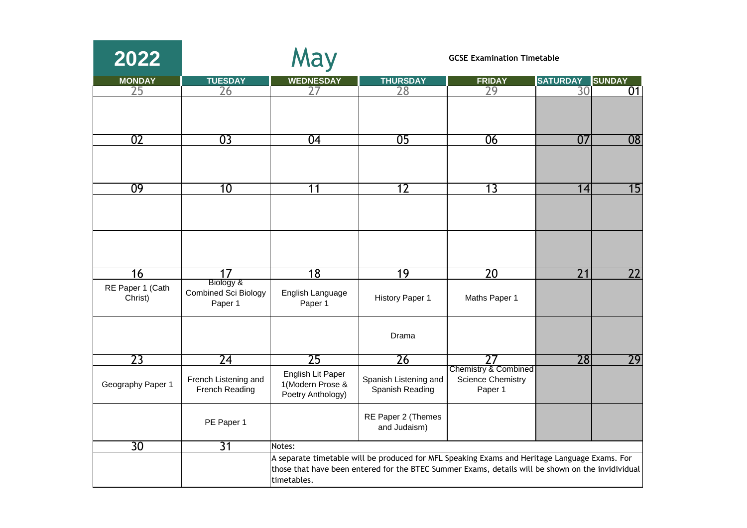| 2022                        |                                        | May                                                        |                                          | <b>GCSE Examination Timetable</b>                                                                                                                                                                  |                 |                 |  |
|-----------------------------|----------------------------------------|------------------------------------------------------------|------------------------------------------|----------------------------------------------------------------------------------------------------------------------------------------------------------------------------------------------------|-----------------|-----------------|--|
| <b>MONDAY</b>               | <b>TUESDAY</b>                         | <b>WEDNESDAY</b>                                           | <b>THURSDAY</b>                          | <b>FRIDAY</b>                                                                                                                                                                                      | <b>SATURDAY</b> | <b>SUNDAY</b>   |  |
| 25                          | 26                                     |                                                            | 28                                       | 29                                                                                                                                                                                                 | 30              | 01              |  |
|                             |                                        |                                                            |                                          |                                                                                                                                                                                                    |                 |                 |  |
| 02                          | $\overline{03}$                        | 04                                                         | 05                                       | 06                                                                                                                                                                                                 | 07              | $\overline{08}$ |  |
|                             |                                        |                                                            |                                          |                                                                                                                                                                                                    |                 |                 |  |
| 09                          | 10                                     | 11                                                         | 12                                       | 13                                                                                                                                                                                                 | 14              | 15              |  |
|                             |                                        |                                                            |                                          |                                                                                                                                                                                                    |                 |                 |  |
|                             | $\overline{17}$                        |                                                            | 19                                       | $\overline{20}$                                                                                                                                                                                    | $\overline{21}$ | $\overline{22}$ |  |
| 16                          | Biology &                              | 18                                                         |                                          |                                                                                                                                                                                                    |                 |                 |  |
| RE Paper 1 (Cath<br>Christ) | <b>Combined Sci Biology</b><br>Paper 1 | English Language<br>Paper 1                                | <b>History Paper 1</b>                   | Maths Paper 1                                                                                                                                                                                      |                 |                 |  |
|                             |                                        |                                                            | Drama                                    |                                                                                                                                                                                                    |                 |                 |  |
| 23                          | $\overline{24}$                        | 25                                                         | 26                                       | 77                                                                                                                                                                                                 | 28              | 29              |  |
| Geography Paper 1           | French Listening and<br>French Reading | English Lit Paper<br>1(Modern Prose &<br>Poetry Anthology) | Spanish Listening and<br>Spanish Reading | Chemistry & Combined<br><b>Science Chemistry</b><br>Paper 1                                                                                                                                        |                 |                 |  |
|                             | PE Paper 1                             |                                                            | RE Paper 2 (Themes<br>and Judaism)       |                                                                                                                                                                                                    |                 |                 |  |
| 30                          | $\overline{31}$                        | Notes:                                                     |                                          |                                                                                                                                                                                                    |                 |                 |  |
|                             |                                        | timetables.                                                |                                          | A separate timetable will be produced for MFL Speaking Exams and Heritage Language Exams. For<br>those that have been entered for the BTEC Summer Exams, details will be shown on the invidividual |                 |                 |  |